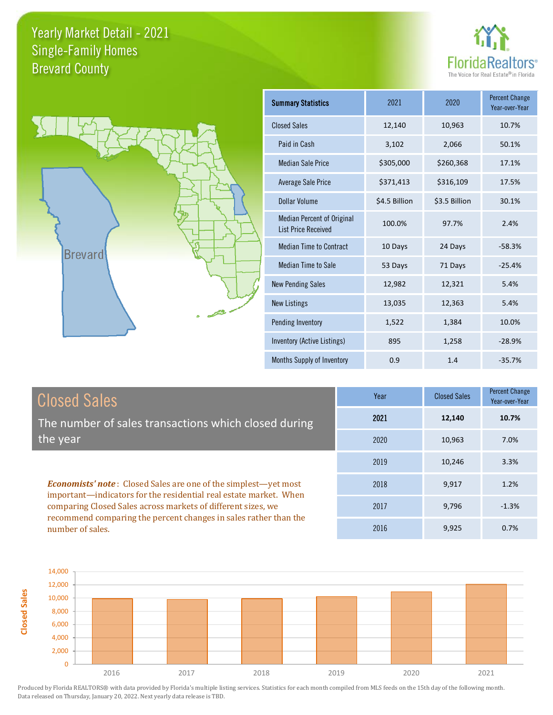**Closed Sales**





| <b>Summary Statistics</b>                                       | 2021          | 2020          | <b>Percent Change</b><br>Year-over-Year |
|-----------------------------------------------------------------|---------------|---------------|-----------------------------------------|
| <b>Closed Sales</b>                                             | 12,140        | 10,963        | 10.7%                                   |
| Paid in Cash                                                    | 3,102         | 2,066         | 50.1%                                   |
| <b>Median Sale Price</b>                                        | \$305,000     | \$260,368     | 17.1%                                   |
| <b>Average Sale Price</b>                                       | \$371,413     | \$316,109     | 17.5%                                   |
| Dollar Volume                                                   | \$4.5 Billion | \$3.5 Billion | 30.1%                                   |
| <b>Median Percent of Original</b><br><b>List Price Received</b> | 100.0%        | 97.7%         | 2.4%                                    |
| <b>Median Time to Contract</b>                                  | 10 Days       | 24 Days       | $-58.3%$                                |
| <b>Median Time to Sale</b>                                      | 53 Days       | 71 Days       | $-25.4%$                                |
| <b>New Pending Sales</b>                                        | 12,982        | 12,321        | 5.4%                                    |
| <b>New Listings</b>                                             | 13,035        | 12,363        | 5.4%                                    |
| Pending Inventory                                               | 1,522         | 1,384         | 10.0%                                   |
| Inventory (Active Listings)                                     | 895           | 1,258         | $-28.9%$                                |
| Months Supply of Inventory                                      | 0.9           | 1.4           | $-35.7%$                                |

| <b>Closed Sales</b>                                                                                                                                                                                         | Year | <b>Closed Sales</b> | <b>Percent Change</b><br>Year-over-Year |
|-------------------------------------------------------------------------------------------------------------------------------------------------------------------------------------------------------------|------|---------------------|-----------------------------------------|
| The number of sales transactions which closed during                                                                                                                                                        | 2021 | 12,140              | 10.7%                                   |
| the year                                                                                                                                                                                                    | 2020 | 10,963              | 7.0%                                    |
|                                                                                                                                                                                                             | 2019 | 10,246              | 3.3%                                    |
| <b>Economists' note:</b> Closed Sales are one of the simplest—yet most<br>important—indicators for the residential real estate market. When<br>comparing Closed Sales across markets of different sizes, we | 2018 | 9,917               | 1.2%                                    |
|                                                                                                                                                                                                             | 2017 | 9,796               | $-1.3%$                                 |
| recommend comparing the percent changes in sales rather than the<br>number of sales.                                                                                                                        | 2016 | 9,925               | 0.7%                                    |

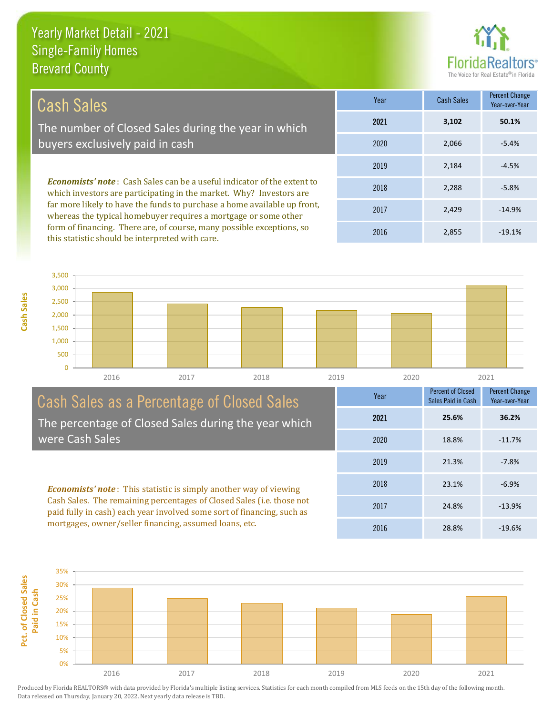this statistic should be interpreted with care.



2,855 -19.1%

| Cash Sales                                                                                                                                            | Year | <b>Cash Sales</b> | Percent Change<br>Year-over-Year |
|-------------------------------------------------------------------------------------------------------------------------------------------------------|------|-------------------|----------------------------------|
| The number of Closed Sales during the year in which                                                                                                   | 2021 | 3,102             | 50.1%                            |
| buyers exclusively paid in cash                                                                                                                       | 2020 | 2.066             | $-5.4%$                          |
|                                                                                                                                                       | 2019 | 2,184             | $-4.5%$                          |
| <b>Economists' note:</b> Cash Sales can be a useful indicator of the extent to<br>which investors are participating in the market. Why? Investors are | 2018 | 2,288             | $-5.8\%$                         |
| far more likely to have the funds to purchase a home available up front,<br>whereas the typical homebuyer requires a mortgage or some other           | 2017 | 2.429             | $-14.9%$                         |
| form of financing. There are, of course, many possible exceptions, so                                                                                 | 001c | n orr             | 10.101                           |

 $\overline{0}$ 500 1,000 1,500 2,000 2,500 3,000 3,500 2016 2017 2018 2019 2020 2021

#### Cash Sales as a Percentage of Closed Sales The percentage of Closed Sales during the year which were Cash Sales

*Economists' note* : This statistic is simply another way of viewing Cash Sales. The remaining percentages of Closed Sales (i.e. those not paid fully in cash) each year involved some sort of financing, such as mortgages, owner/seller financing, assumed loans, etc.



2016



**Cash Sales**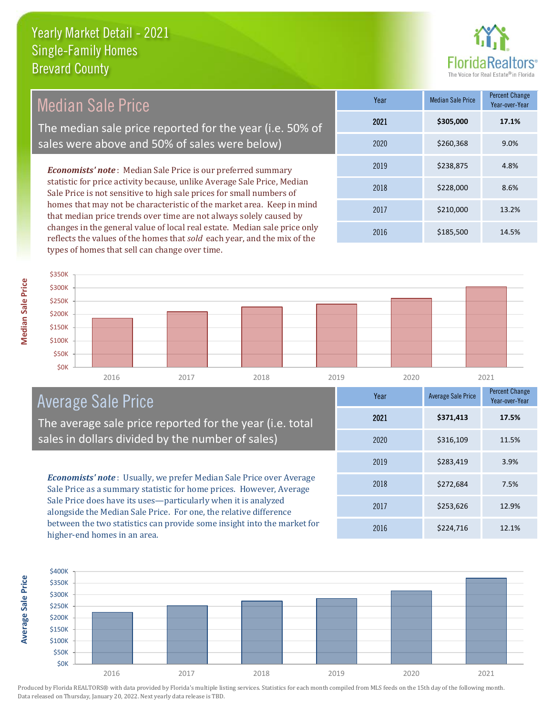

| Median Sale Price                                                                                                                                                                                                                                                                              | Year | <b>Median Sale Price</b> | <b>Percent Change</b><br>Year-over-Year |
|------------------------------------------------------------------------------------------------------------------------------------------------------------------------------------------------------------------------------------------------------------------------------------------------|------|--------------------------|-----------------------------------------|
| The median sale price reported for the year (i.e. 50% of                                                                                                                                                                                                                                       | 2021 | \$305,000                | 17.1%                                   |
| sales were above and 50% of sales were below)                                                                                                                                                                                                                                                  | 2020 | \$260,368                | 9.0%                                    |
| <b>Economists' note:</b> Median Sale Price is our preferred summary                                                                                                                                                                                                                            | 2019 | \$238,875                | 4.8%                                    |
| statistic for price activity because, unlike Average Sale Price, Median<br>Sale Price is not sensitive to high sale prices for small numbers of<br>homes that may not be characteristic of the market area. Keep in mind<br>that median price trends over time are not always solely caused by | 2018 | \$228,000                | 8.6%                                    |
|                                                                                                                                                                                                                                                                                                | 2017 | \$210,000                | 13.2%                                   |
| changes in the general value of local real estate. Median sale price only                                                                                                                                                                                                                      | 2016 | \$185,500                | 14.5%                                   |



## Average Sale Price

The average sale price reported for the year (i.e. total sales in dollars divided by the number of sales)

reflects the values of the homes that *sold* each year, and the mix of the

types of homes that sell can change over time.

*Economists' note* : Usually, we prefer Median Sale Price over Average Sale Price as a summary statistic for home prices. However, Average Sale Price does have its uses—particularly when it is analyzed alongside the Median Sale Price. For one, the relative difference between the two statistics can provide some insight into the market for higher-end homes in an area.





**Median Sale Price**

**Median Sale Price**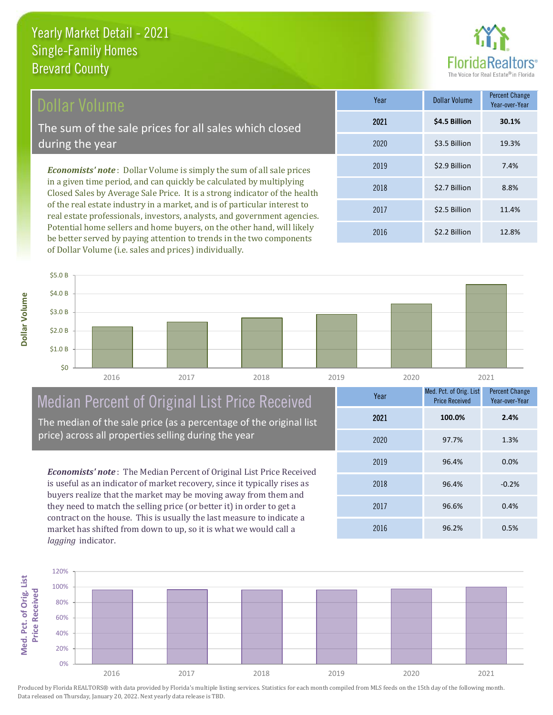

#### Dollar Volume

The sum of the sale prices for all sales which closed during the year

*Economists' note* : Dollar Volume is simply the sum of all sale prices in a given time period, and can quickly be calculated by multiplying Closed Sales by Average Sale Price. It is a strong indicator of the health of the real estate industry in a market, and is of particular interest to real estate professionals, investors, analysts, and government agencies. Potential home sellers and home buyers, on the other hand, will likely be better served by paying attention to trends in the two components of Dollar Volume (i.e. sales and prices) individually.

| Year | Dollar Volume | <b>Percent Change</b><br>Year-over-Year |
|------|---------------|-----------------------------------------|
| 2021 | \$4.5 Billion | 30.1%                                   |
| 2020 | \$3.5 Billion | 19.3%                                   |
| 2019 | \$2.9 Billion | 7.4%                                    |
| 2018 | \$2.7 Billion | 8.8%                                    |
| 2017 | \$2.5 Billion | 11.4%                                   |
| 2016 | \$2.2 Billion | 12.8%                                   |



## Median Percent of Original List Price Received

The median of the sale price (as a percentage of the original list price) across all properties selling during the year

*Economists' note* : The Median Percent of Original List Price Received is useful as an indicator of market recovery, since it typically rises as buyers realize that the market may be moving away from them and they need to match the selling price (or better it) in order to get a contract on the house. This is usually the last measure to indicate a market has shifted from down to up, so it is what we would call a *lagging* indicator.

| Year | Med. Pct. of Orig. List<br><b>Price Received</b> | <b>Percent Change</b><br>Year-over-Year |
|------|--------------------------------------------------|-----------------------------------------|
| 2021 | 100.0%                                           | 2.4%                                    |
| 2020 | 97.7%                                            | 1.3%                                    |
| 2019 | 96.4%                                            | 0.0%                                    |
| 2018 | 96.4%                                            | $-0.2%$                                 |
| 2017 | 96.6%                                            | 0.4%                                    |
| 2016 | 96.2%                                            | 0.5%                                    |

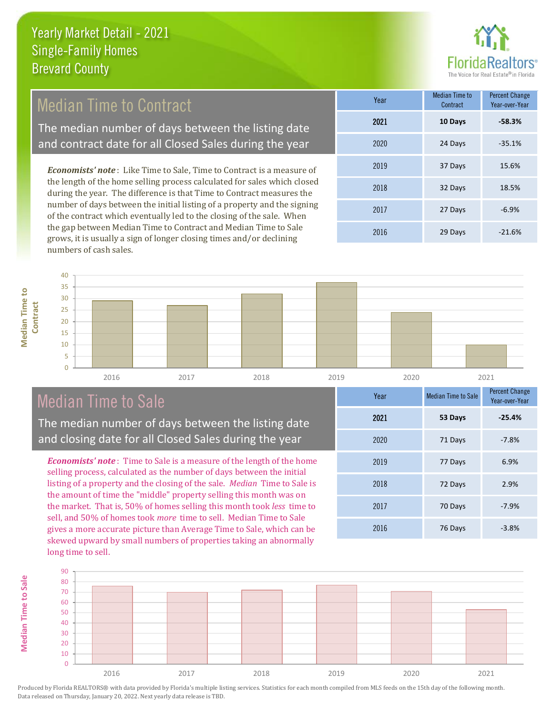

### Median Time to Contract

The median number of days between the listing date and contract date for all Closed Sales during the year

*Economists' note* : Like Time to Sale, Time to Contract is a measure of the length of the home selling process calculated for sales which closed during the year. The difference is that Time to Contract measures the number of days between the initial listing of a property and the signing of the contract which eventually led to the closing of the sale. When the gap between Median Time to Contract and Median Time to Sale grows, it is usually a sign of longer closing times and/or declining numbers of cash sales.

| Year | <b>Median Time to</b><br>Contract | <b>Percent Change</b><br>Year-over-Year |
|------|-----------------------------------|-----------------------------------------|
| 2021 | 10 Days                           | $-58.3%$                                |
| 2020 | 24 Days                           | $-35.1%$                                |
| 2019 | 37 Days                           | 15.6%                                   |
| 2018 | 32 Days                           | 18.5%                                   |
| 2017 | 27 Days                           | $-6.9%$                                 |
| 2016 | 29 Days                           | $-21.6%$                                |



## Median Time to Sale

**Median Time to Sale**

**Median Time to Sale** 

The median number of days between the listing date and closing date for all Closed Sales during the year

*Economists' note* : Time to Sale is a measure of the length of the home selling process, calculated as the number of days between the initial listing of a property and the closing of the sale. *Median* Time to Sale is the amount of time the "middle" property selling this month was on the market. That is, 50% of homes selling this month took *less* time to sell, and 50% of homes took *more* time to sell. Median Time to Sale gives a more accurate picture than Average Time to Sale, which can be skewed upward by small numbers of properties taking an abnormally long time to sell.

| Year | <b>Median Time to Sale</b> | <b>Percent Change</b><br>Year-over-Year |
|------|----------------------------|-----------------------------------------|
| 2021 | 53 Days                    | $-25.4%$                                |
| 2020 | 71 Days                    | $-7.8%$                                 |
| 2019 | 77 Days                    | 6.9%                                    |
| 2018 | 72 Days                    | 2.9%                                    |
| 2017 | 70 Days                    | $-7.9%$                                 |
| 2016 | 76 Days                    | $-3.8%$                                 |

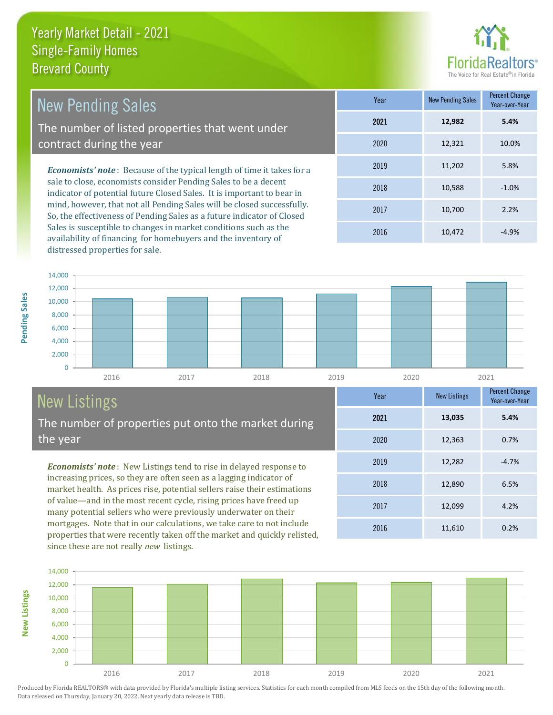

12,890 6.5%

Year-over-Year

**5.4%**

**Year** New Listings Percent Change

2016 11,610 0.2%

2017 12,099 4.2%

2019 12,282 -4.7%

2020 12,363 0.7%

2021 **13,035**

2018

| <b>New Pending Sales</b>                                                                                                                         | Year | <b>New Pending Sales</b> | <b>Percent Change</b><br>Year-over-Year |
|--------------------------------------------------------------------------------------------------------------------------------------------------|------|--------------------------|-----------------------------------------|
| The number of listed properties that went under                                                                                                  | 2021 | 12,982                   | 5.4%                                    |
| contract during the year                                                                                                                         | 2020 | 12,321                   | 10.0%                                   |
| <b>Economists' note</b> : Because of the typical length of time it takes for a                                                                   | 2019 | 11,202                   | 5.8%                                    |
| sale to close, economists consider Pending Sales to be a decent<br>indicator of potential future Closed Sales. It is important to bear in        | 2018 | 10,588                   | $-1.0%$                                 |
| mind, however, that not all Pending Sales will be closed successfully.<br>Cartha effectiveness of Dougling Color as a future indicator of Closed | 2017 | 10.700                   | 2.2%                                    |

So, the effectiveness of Pending Sales as a future indicator of Closed Sales is susceptible to changes in market conditions such as the availability of financing for homebuyers and the inventory of distressed properties for sale.

2016 10,472 -4.9%



# New Listings

The number of properties put onto the market during the year

*Economists' note* : New Listings tend to rise in delayed response to increasing prices, so they are often seen as a lagging indicator of market health. As prices rise, potential sellers raise their estimations of value—and in the most recent cycle, rising prices have freed up many potential sellers who were previously underwater on their mortgages. Note that in our calculations, we take care to not include properties that were recently taken off the market and quickly relisted, since these are not really *new* listings.



Produced by Florida REALTORS® with data provided by Florida's multiple listing services. Statistics for each month compiled from MLS feeds on the 15th day of the following month. Data released on Thursday, January 20, 2022. Next yearly data release is TBD.

**New Listings**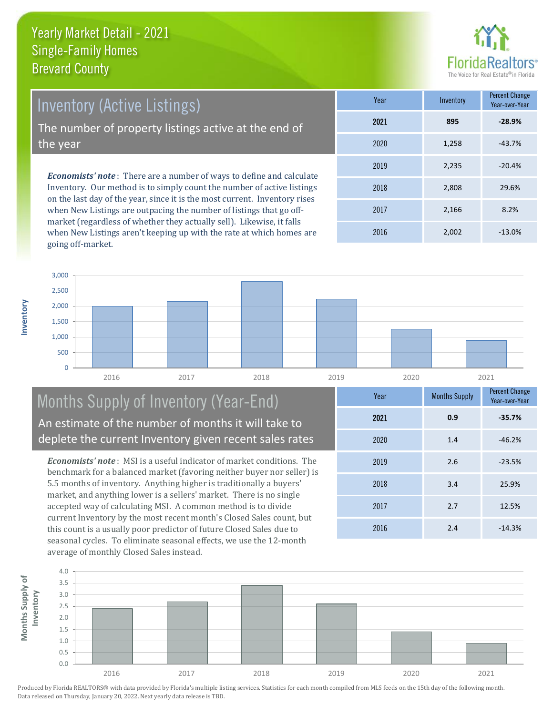

*Economists' note* : There are a number of ways to define and calculate Inventory. Our method is to simply count the number of active listings on the last day of the year, since it is the most current. Inventory rises Inventory (Active Listings) The number of property listings active at the end of the year

when New Listings are outpacing the number of listings that go offmarket (regardless of whether they actually sell). Likewise, it falls when New Listings aren't keeping up with the rate at which homes are going off-market.

| Year | Inventory | <b>Percent Change</b><br>Year-over-Year |
|------|-----------|-----------------------------------------|
| 2021 | 895       | $-28.9%$                                |
| 2020 | 1,258     | $-43.7%$                                |
| 2019 | 2,235     | $-20.4%$                                |
| 2018 | 2,808     | 29.6%                                   |
| 2017 | 2,166     | 8.2%                                    |
| 2016 | 2,002     | $-13.0%$                                |



#### Months Supply of Inventory (Year-End) An estimate of the number of months it will take to deplete the current Inventory given recent sales rates

*Economists' note* : MSI is a useful indicator of market conditions. The benchmark for a balanced market (favoring neither buyer nor seller) is 5.5 months of inventory. Anything higher is traditionally a buyers' market, and anything lower is a sellers' market. There is no single accepted way of calculating MSI. A common method is to divide current Inventory by the most recent month's Closed Sales count, but this count is a usually poor predictor of future Closed Sales due to seasonal cycles. To eliminate seasonal effects, we use the 12-month average of monthly Closed Sales instead.

| Year | <b>Months Supply</b> | <b>Percent Change</b><br>Year-over-Year |
|------|----------------------|-----------------------------------------|
| 2021 | 0.9                  | $-35.7%$                                |
| 2020 | 1.4                  | $-46.2%$                                |
| 2019 | 2.6                  | $-23.5%$                                |
| 2018 | 3.4                  | 25.9%                                   |
| 2017 | 2.7                  | 12.5%                                   |
| 2016 | 2.4                  | $-14.3%$                                |



**Inventory**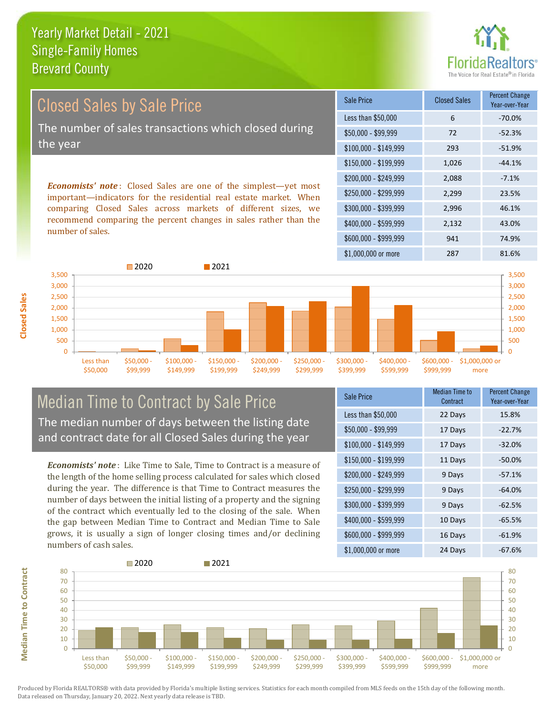

# Closed Sales by Sale Price The number of sales transactions which closed during the year

*Economists' note* : Closed Sales are one of the simplest—yet most important—indicators for the residential real estate market. When comparing Closed Sales across markets of different sizes, we recommend comparing the percent changes in sales rather than the number of sales.

| Sale Price            | <b>Closed Sales</b> | <b>Percent Change</b><br>Year-over-Year |
|-----------------------|---------------------|-----------------------------------------|
| Less than \$50,000    | 6                   | $-70.0%$                                |
| \$50,000 - \$99,999   | 72                  | $-52.3%$                                |
| $$100,000 - $149,999$ | 293                 | $-51.9%$                                |
| $$150,000 - $199,999$ | 1,026               | $-44.1%$                                |
| \$200,000 - \$249,999 | 2,088               | $-7.1%$                                 |
| \$250,000 - \$299,999 | 2,299               | 23.5%                                   |
| \$300,000 - \$399,999 | 2,996               | 46.1%                                   |
| \$400,000 - \$599,999 | 2,132               | 43.0%                                   |
| \$600,000 - \$999,999 | 941                 | 74.9%                                   |
| \$1,000,000 or more   | 287                 | 81.6%                                   |



#### Median Time to Contract by Sale Price The median number of days between the listing date and contract date for all Closed Sales during the year

*Economists' note* : Like Time to Sale, Time to Contract is a measure of the length of the home selling process calculated for sales which closed during the year. The difference is that Time to Contract measures the number of days between the initial listing of a property and the signing of the contract which eventually led to the closing of the sale. When the gap between Median Time to Contract and Median Time to Sale grows, it is usually a sign of longer closing times and/or declining numbers of cash sales.

| Sale Price            | Median Time to<br>Contract | Percent Change<br>Year-over-Year |
|-----------------------|----------------------------|----------------------------------|
| Less than \$50,000    | 22 Days                    | 15.8%                            |
| \$50,000 - \$99,999   | 17 Days                    | $-22.7%$                         |
| $$100,000 - $149,999$ | 17 Days                    | $-32.0%$                         |
| $$150,000 - $199,999$ | 11 Days                    | $-50.0%$                         |
| \$200,000 - \$249,999 | 9 Days                     | $-57.1%$                         |
| \$250,000 - \$299,999 | 9 Days                     | $-64.0%$                         |
| \$300,000 - \$399,999 | 9 Days                     | $-62.5%$                         |
| \$400,000 - \$599,999 | 10 Days                    | $-65.5%$                         |
| \$600,000 - \$999,999 | 16 Days                    | $-61.9%$                         |
| \$1,000,000 or more   | 24 Days                    | $-67.6%$                         |

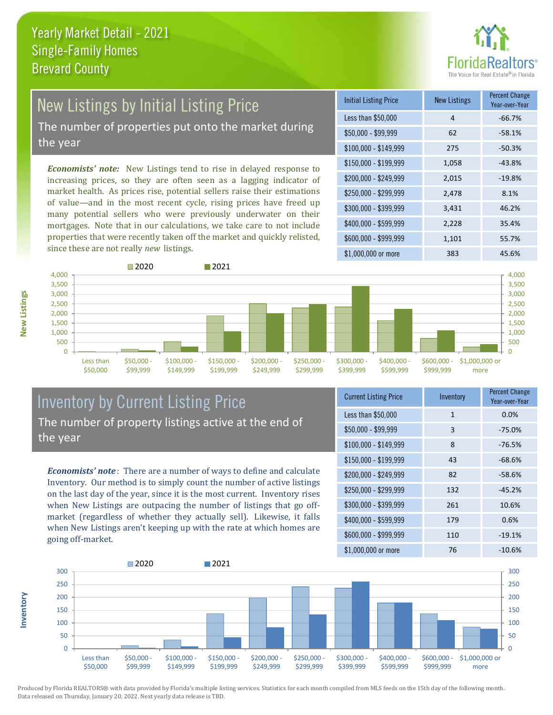

## New Listings by Initial Listing Price

The number of properties put onto the market during the year

*Economists' note:* New Listings tend to rise in delayed response to increasing prices, so they are often seen as a lagging indicator of market health. As prices rise, potential sellers raise their estimations of value—and in the most recent cycle, rising prices have freed up many potential sellers who were previously underwater on their mortgages. Note that in our calculations, we take care to not include properties that were recently taken off the market and quickly relisted, since these are not really *new* listings.





#### Inventory by Current Listing Price The number of property listings active at the end of the year

*Economists' note* : There are a number of ways to define and calculate Inventory. Our method is to simply count the number of active listings on the last day of the year, since it is the most current. Inventory rises when New Listings are outpacing the number of listings that go offmarket (regardless of whether they actually sell). Likewise, it falls when New Listings aren't keeping up with the rate at which homes are going off-market.

| <b>Current Listing Price</b> | Inventory    | Percent Change<br>Year-over-Year |
|------------------------------|--------------|----------------------------------|
| Less than \$50,000           | $\mathbf{1}$ | 0.0%                             |
| \$50,000 - \$99,999          | 3            | $-75.0%$                         |
| $$100,000 - $149,999$        | 8            | $-76.5%$                         |
| $$150,000 - $199,999$        | 43           | $-68.6%$                         |
| \$200,000 - \$249,999        | 82           | $-58.6%$                         |
| \$250,000 - \$299,999        | 132          | $-45.2%$                         |
| \$300,000 - \$399,999        | 261          | 10.6%                            |
| \$400,000 - \$599,999        | 179          | 0.6%                             |
| \$600,000 - \$999,999        | 110          | $-19.1%$                         |
| \$1,000,000 or more          | 76           | $-10.6%$                         |



Produced by Florida REALTORS® with data provided by Florida's multiple listing services. Statistics for each month compiled from MLS feeds on the 15th day of the following month. Data released on Thursday, January 20, 2022. Next yearly data release is TBD.

**Inventory**